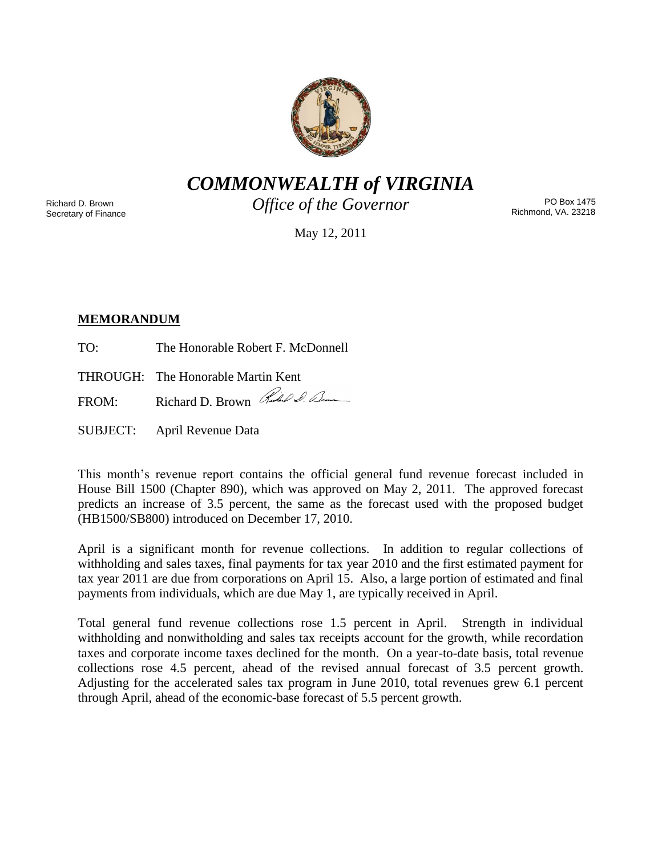

*COMMONWEALTH of VIRGINIA*

Richard D. Brown Secretary of Finance *Office of the Governor*

PO Box 1475 Richmond, VA. 23218

May 12, 2011

# **MEMORANDUM**

TO: The Honorable Robert F. McDonnell

THROUGH: The Honorable Martin Kent

FROM: Richard D. Brown Rubel Sum

SUBJECT: April Revenue Data

This month's revenue report contains the official general fund revenue forecast included in House Bill 1500 (Chapter 890), which was approved on May 2, 2011. The approved forecast predicts an increase of 3.5 percent, the same as the forecast used with the proposed budget (HB1500/SB800) introduced on December 17, 2010.

April is a significant month for revenue collections. In addition to regular collections of withholding and sales taxes, final payments for tax year 2010 and the first estimated payment for tax year 2011 are due from corporations on April 15. Also, a large portion of estimated and final payments from individuals, which are due May 1, are typically received in April.

Total general fund revenue collections rose 1.5 percent in April. Strength in individual withholding and nonwitholding and sales tax receipts account for the growth, while recordation taxes and corporate income taxes declined for the month. On a year-to-date basis, total revenue collections rose 4.5 percent, ahead of the revised annual forecast of 3.5 percent growth. Adjusting for the accelerated sales tax program in June 2010, total revenues grew 6.1 percent through April, ahead of the economic-base forecast of 5.5 percent growth.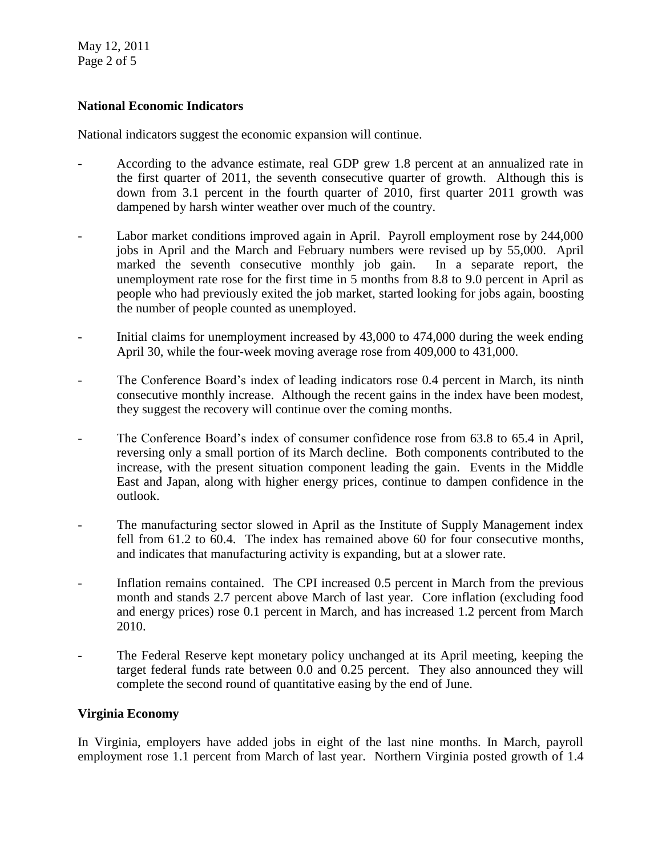May 12, 2011 Page 2 of 5

## **National Economic Indicators**

National indicators suggest the economic expansion will continue.

- According to the advance estimate, real GDP grew 1.8 percent at an annualized rate in the first quarter of 2011, the seventh consecutive quarter of growth. Although this is down from 3.1 percent in the fourth quarter of 2010, first quarter 2011 growth was dampened by harsh winter weather over much of the country.
- Labor market conditions improved again in April. Payroll employment rose by 244,000 jobs in April and the March and February numbers were revised up by 55,000. April marked the seventh consecutive monthly job gain. In a separate report, the unemployment rate rose for the first time in 5 months from 8.8 to 9.0 percent in April as people who had previously exited the job market, started looking for jobs again, boosting the number of people counted as unemployed.
- Initial claims for unemployment increased by 43,000 to 474,000 during the week ending April 30, while the four-week moving average rose from 409,000 to 431,000.
- The Conference Board's index of leading indicators rose 0.4 percent in March, its ninth consecutive monthly increase. Although the recent gains in the index have been modest, they suggest the recovery will continue over the coming months.
- The Conference Board's index of consumer confidence rose from 63.8 to 65.4 in April, reversing only a small portion of its March decline. Both components contributed to the increase, with the present situation component leading the gain. Events in the Middle East and Japan, along with higher energy prices, continue to dampen confidence in the outlook.
- The manufacturing sector slowed in April as the Institute of Supply Management index fell from 61.2 to 60.4. The index has remained above 60 for four consecutive months, and indicates that manufacturing activity is expanding, but at a slower rate.
- Inflation remains contained. The CPI increased 0.5 percent in March from the previous month and stands 2.7 percent above March of last year. Core inflation (excluding food and energy prices) rose 0.1 percent in March, and has increased 1.2 percent from March 2010.
- The Federal Reserve kept monetary policy unchanged at its April meeting, keeping the target federal funds rate between 0.0 and 0.25 percent. They also announced they will complete the second round of quantitative easing by the end of June.

### **Virginia Economy**

In Virginia, employers have added jobs in eight of the last nine months. In March, payroll employment rose 1.1 percent from March of last year. Northern Virginia posted growth of 1.4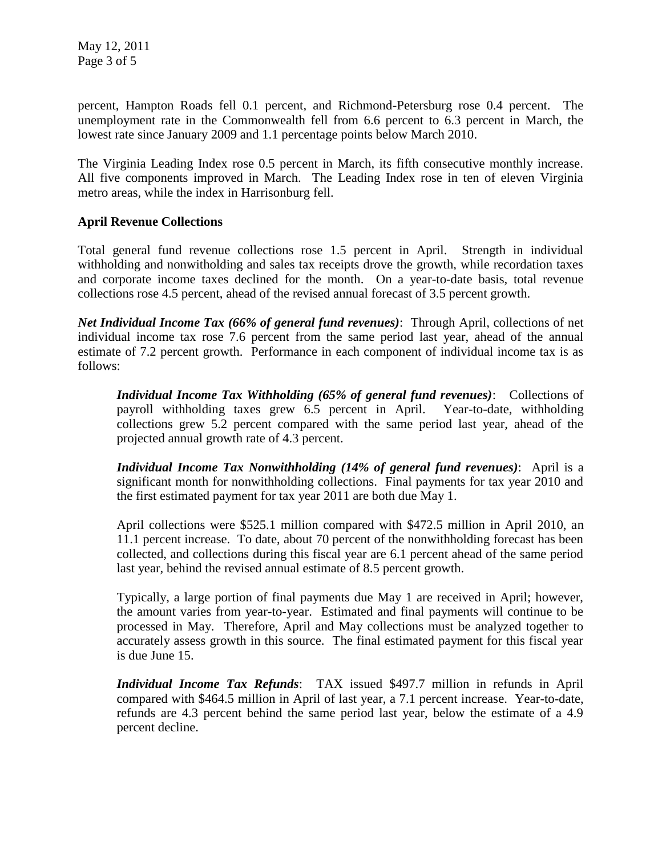percent, Hampton Roads fell 0.1 percent, and Richmond-Petersburg rose 0.4 percent. The unemployment rate in the Commonwealth fell from 6.6 percent to 6.3 percent in March, the lowest rate since January 2009 and 1.1 percentage points below March 2010.

The Virginia Leading Index rose 0.5 percent in March, its fifth consecutive monthly increase. All five components improved in March. The Leading Index rose in ten of eleven Virginia metro areas, while the index in Harrisonburg fell.

## **April Revenue Collections**

Total general fund revenue collections rose 1.5 percent in April. Strength in individual withholding and nonwitholding and sales tax receipts drove the growth, while recordation taxes and corporate income taxes declined for the month. On a year-to-date basis, total revenue collections rose 4.5 percent, ahead of the revised annual forecast of 3.5 percent growth.

*Net Individual Income Tax (66% of general fund revenues)*: Through April, collections of net individual income tax rose 7.6 percent from the same period last year, ahead of the annual estimate of 7.2 percent growth. Performance in each component of individual income tax is as follows:

*Individual Income Tax Withholding (65% of general fund revenues)*: Collections of payroll withholding taxes grew 6.5 percent in April. Year-to-date, withholding collections grew 5.2 percent compared with the same period last year, ahead of the projected annual growth rate of 4.3 percent.

*Individual Income Tax Nonwithholding (14% of general fund revenues)*: April is a significant month for nonwithholding collections. Final payments for tax year 2010 and the first estimated payment for tax year 2011 are both due May 1.

April collections were \$525.1 million compared with \$472.5 million in April 2010, an 11.1 percent increase. To date, about 70 percent of the nonwithholding forecast has been collected, and collections during this fiscal year are 6.1 percent ahead of the same period last year, behind the revised annual estimate of 8.5 percent growth.

Typically, a large portion of final payments due May 1 are received in April; however, the amount varies from year-to-year. Estimated and final payments will continue to be processed in May. Therefore, April and May collections must be analyzed together to accurately assess growth in this source. The final estimated payment for this fiscal year is due June 15.

*Individual Income Tax Refunds*: TAX issued \$497.7 million in refunds in April compared with \$464.5 million in April of last year, a 7.1 percent increase. Year-to-date, refunds are 4.3 percent behind the same period last year, below the estimate of a 4.9 percent decline.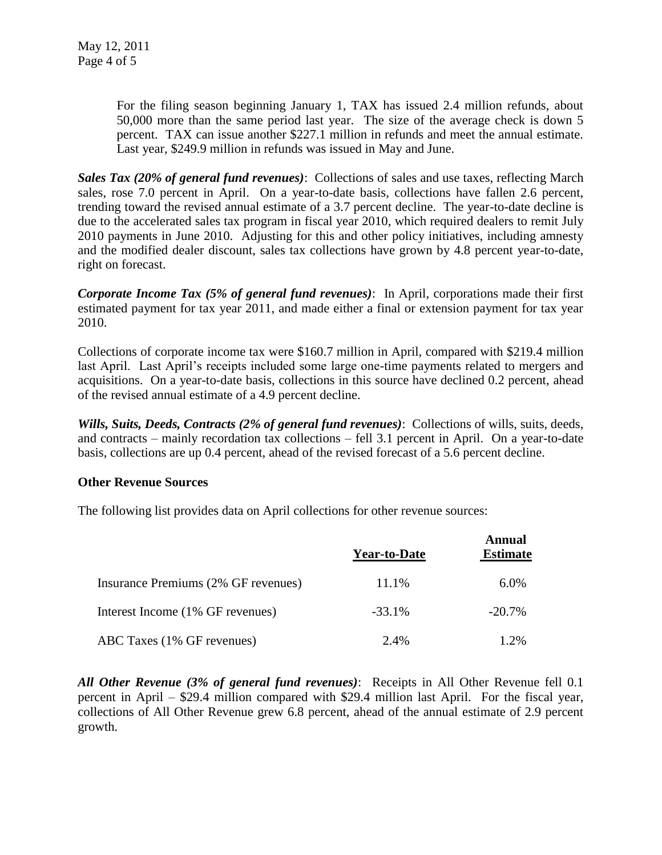For the filing season beginning January 1, TAX has issued 2.4 million refunds, about 50,000 more than the same period last year. The size of the average check is down 5 percent. TAX can issue another \$227.1 million in refunds and meet the annual estimate. Last year, \$249.9 million in refunds was issued in May and June.

*Sales Tax (20% of general fund revenues)*: Collections of sales and use taxes, reflecting March sales, rose 7.0 percent in April. On a year-to-date basis, collections have fallen 2.6 percent, trending toward the revised annual estimate of a 3.7 percent decline. The year-to-date decline is due to the accelerated sales tax program in fiscal year 2010, which required dealers to remit July 2010 payments in June 2010. Adjusting for this and other policy initiatives, including amnesty and the modified dealer discount, sales tax collections have grown by 4.8 percent year-to-date, right on forecast.

*Corporate Income Tax (5% of general fund revenues)*: In April, corporations made their first estimated payment for tax year 2011, and made either a final or extension payment for tax year 2010.

Collections of corporate income tax were \$160.7 million in April, compared with \$219.4 million last April. Last April's receipts included some large one-time payments related to mergers and acquisitions. On a year-to-date basis, collections in this source have declined 0.2 percent, ahead of the revised annual estimate of a 4.9 percent decline.

*Wills, Suits, Deeds, Contracts (2% of general fund revenues)*: Collections of wills, suits, deeds, and contracts – mainly recordation tax collections – fell 3.1 percent in April. On a year-to-date basis, collections are up 0.4 percent, ahead of the revised forecast of a 5.6 percent decline.

### **Other Revenue Sources**

The following list provides data on April collections for other revenue sources:

|                                     | <b>Year-to-Date</b> | Annual<br><b>Estimate</b> |
|-------------------------------------|---------------------|---------------------------|
| Insurance Premiums (2% GF revenues) | 11.1%               | $6.0\%$                   |
| Interest Income (1% GF revenues)    | $-33.1%$            | $-20.7\%$                 |
| ABC Taxes (1% GF revenues)          | 2.4%                | 1.2%                      |

*All Other Revenue (3% of general fund revenues)*: Receipts in All Other Revenue fell 0.1 percent in April – \$29.4 million compared with \$29.4 million last April. For the fiscal year, collections of All Other Revenue grew 6.8 percent, ahead of the annual estimate of 2.9 percent growth.